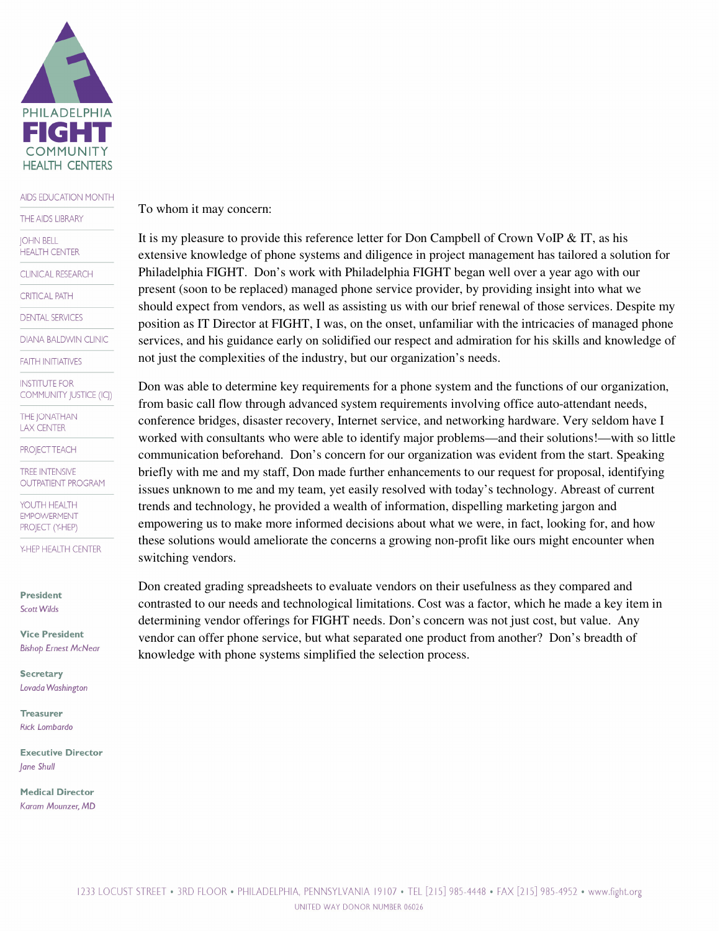

## AIDS EDUCATION MONTH

THE AIDS LIBRARY

**IOHN BELL** 

**HEALTH CENTER** 

**CLINICAL RESEARCH** 

**CRITICAL PATH** 

**DENTAL SERVICES** 

**DIANA BALDWIN CLINIC** 

**FAITH INITIATIVES** 

**INSTITUTE FOR** COMMUNITY JUSTICE (ICJ)

**THE JONATHAN LAX CENTER** 

**PROJECT TEACH** 

**TREE INTENSIVE OUTPATIENT PROGRAM** 

YOUTH HEALTH **EMPOWERMENT** PROJECT (Y-HEP)

Y-HEP HEALTH CENTER

**President Scott Wilds** 

**Vice President Bishop Ernest McNear** 

**Secretary** Lovada Washington

**Treasurer Rick Lombardo** 

**Executive Director** Jane Shull

**Medical Director** Karam Mounzer, MD To whom it may concern:

It is my pleasure to provide this reference letter for Don Campbell of Crown VoIP  $\&$  IT, as his extensive knowledge of phone systems and diligence in project management has tailored a solution for Philadelphia FIGHT. Don's work with Philadelphia FIGHT began well over a year ago with our present (soon to be replaced) managed phone service provider, by providing insight into what we should expect from vendors, as well as assisting us with our brief renewal of those services. Despite my position as IT Director at FIGHT, I was, on the onset, unfamiliar with the intricacies of managed phone services, and his guidance early on solidified our respect and admiration for his skills and knowledge of not just the complexities of the industry, but our organization's needs.

Don was able to determine key requirements for a phone system and the functions of our organization, from basic call flow through advanced system requirements involving office auto-attendant needs, conference bridges, disaster recovery, Internet service, and networking hardware. Very seldom have I worked with consultants who were able to identify major problems—and their solutions!—with so little communication beforehand. Don's concern for our organization was evident from the start. Speaking briefly with me and my staff, Don made further enhancements to our request for proposal, identifying issues unknown to me and my team, yet easily resolved with today's technology. Abreast of current trends and technology, he provided a wealth of information, dispelling marketing jargon and empowering us to make more informed decisions about what we were, in fact, looking for, and how these solutions would ameliorate the concerns a growing non-profit like ours might encounter when switching vendors.

Don created grading spreadsheets to evaluate vendors on their usefulness as they compared and contrasted to our needs and technological limitations. Cost was a factor, which he made a key item in determining vendor offerings for FIGHT needs. Don's concern was not just cost, but value. Any vendor can offer phone service, but what separated one product from another? Don's breadth of knowledge with phone systems simplified the selection process.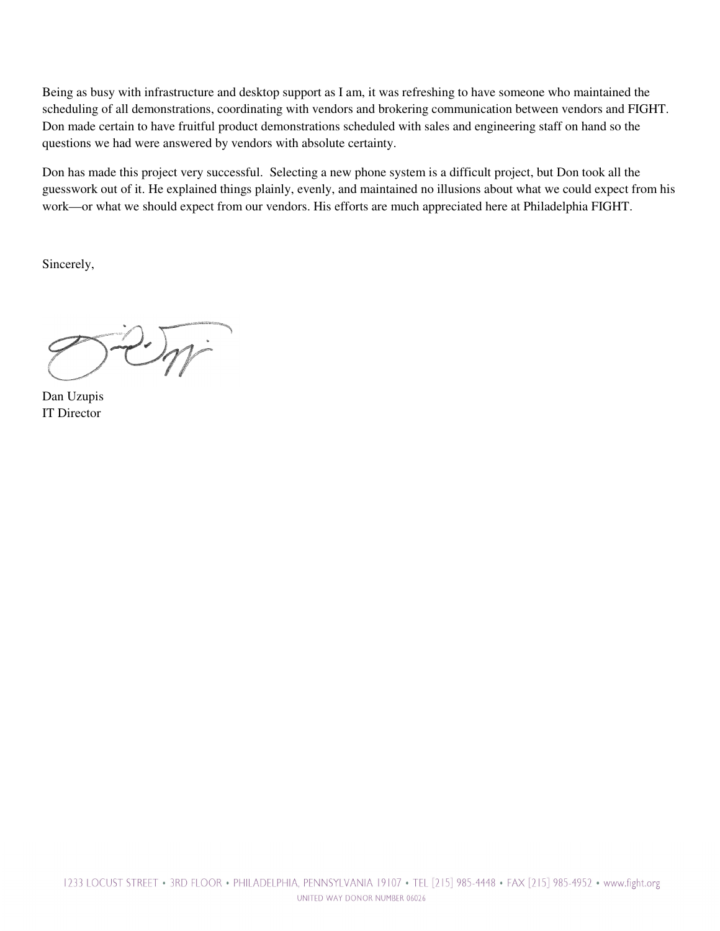Being as busy with infrastructure and desktop support as I am, it was refreshing to have someone who maintained the scheduling of all demonstrations, coordinating with vendors and brokering communication between vendors and FIGHT. Don made certain to have fruitful product demonstrations scheduled with sales and engineering staff on hand so the questions we had were answered by vendors with absolute certainty.

Don has made this project very successful. Selecting a new phone system is a difficult project, but Don took all the guesswork out of it. He explained things plainly, evenly, and maintained no illusions about what we could expect from his work—or what we should expect from our vendors. His efforts are much appreciated here at Philadelphia FIGHT.

Sincerely,

Dan Uzupis IT Director